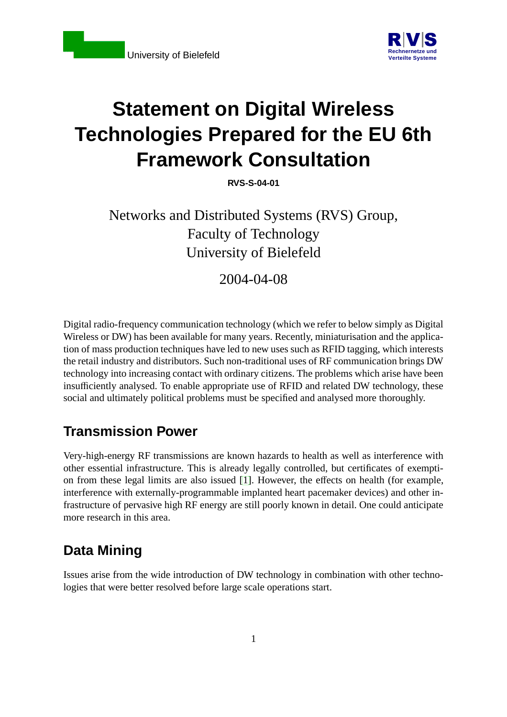

# **Statement on Digital Wireless Technologies Prepared for the EU 6th Framework Consultation**

**RVS-S-04-01**

Networks and Distributed Systems (RVS) Group, Faculty of Technology University of Bielefeld

2004-04-08

Digital radio-frequency communication technology (which we refer to below simply as Digital Wireless or DW) has been available for many years. Recently, miniaturisation and the application of mass production techniques have led to new uses such as RFID tagging, which interests the retail industry and distributors. Such non-traditional uses of RF communication brings DW technology into increasing contact with ordinary citizens. The problems which arise have been insufficiently analysed. To enable appropriate use of RFID and related DW technology, these social and ultimately political problems must be specified and analysed more thoroughly.

#### **Transmission Power**

Very-high-energy RF transmissions are known hazards to health as well as interference with other essential infrastructure. This is already legally controlled, but certificates of exemption from these legal limits are also issued [\[1\]](#page-4-0). However, the effects on health (for example, interference with externally-programmable implanted heart pacemaker devices) and other infrastructure of pervasive high RF energy are still poorly known in detail. One could anticipate more research in this area.

## **Data Mining**

Issues arise from the wide introduction of DW technology in combination with other technologies that were better resolved before large scale operations start.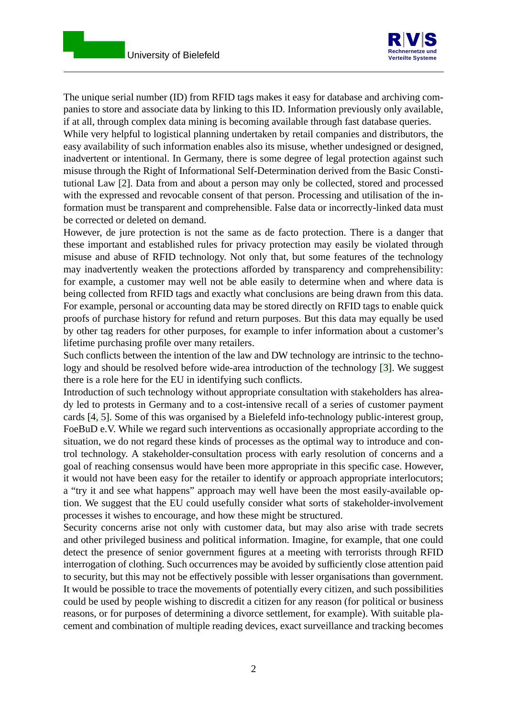

The unique serial number (ID) from RFID tags makes it easy for database and archiving companies to store and associate data by linking to this ID. Information previously only available, if at all, through complex data mining is becoming available through fast database queries.

While very helpful to logistical planning undertaken by retail companies and distributors, the easy availability of such information enables also its misuse, whether undesigned or designed, inadvertent or intentional. In Germany, there is some degree of legal protection against such misuse through the Right of Informational Self-Determination derived from the Basic Constitutional Law [\[2\]](#page-4-1). Data from and about a person may only be collected, stored and processed with the expressed and revocable consent of that person. Processing and utilisation of the information must be transparent and comprehensible. False data or incorrectly-linked data must be corrected or deleted on demand.

However, de jure protection is not the same as de facto protection. There is a danger that these important and established rules for privacy protection may easily be violated through misuse and abuse of RFID technology. Not only that, but some features of the technology may inadvertently weaken the protections afforded by transparency and comprehensibility: for example, a customer may well not be able easily to determine when and where data is being collected from RFID tags and exactly what conclusions are being drawn from this data. For example, personal or accounting data may be stored directly on RFID tags to enable quick proofs of purchase history for refund and return purposes. But this data may equally be used by other tag readers for other purposes, for example to infer information about a customer's lifetime purchasing profile over many retailers.

Such conflicts between the intention of the law and DW technology are intrinsic to the technology and should be resolved before wide-area introduction of the technology [\[3\]](#page-5-0). We suggest there is a role here for the EU in identifying such conflicts.

Introduction of such technology without appropriate consultation with stakeholders has already led to protests in Germany and to a cost-intensive recall of a series of customer payment cards [\[4,](#page-5-1) [5\]](#page-5-2). Some of this was organised by a Bielefeld info-technology public-interest group, FoeBuD e.V. While we regard such interventions as occasionally appropriate according to the situation, we do not regard these kinds of processes as the optimal way to introduce and control technology. A stakeholder-consultation process with early resolution of concerns and a goal of reaching consensus would have been more appropriate in this specific case. However, it would not have been easy for the retailer to identify or approach appropriate interlocutors; a "try it and see what happens" approach may well have been the most easily-available option. We suggest that the EU could usefully consider what sorts of stakeholder-involvement processes it wishes to encourage, and how these might be structured.

Security concerns arise not only with customer data, but may also arise with trade secrets and other privileged business and political information. Imagine, for example, that one could detect the presence of senior government figures at a meeting with terrorists through RFID interrogation of clothing. Such occurrences may be avoided by sufficiently close attention paid to security, but this may not be effectively possible with lesser organisations than government. It would be possible to trace the movements of potentially every citizen, and such possibilities could be used by people wishing to discredit a citizen for any reason (for political or business reasons, or for purposes of determining a divorce settlement, for example). With suitable placement and combination of multiple reading devices, exact surveillance and tracking becomes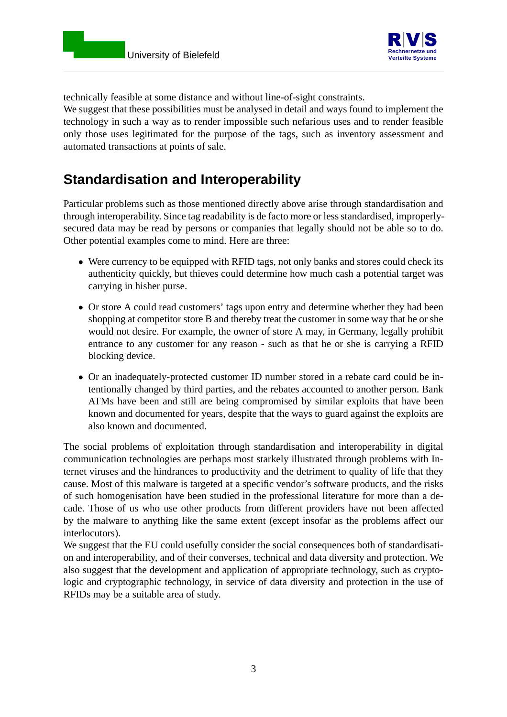

technically feasible at some distance and without line-of-sight constraints.

We suggest that these possibilities must be analysed in detail and ways found to implement the technology in such a way as to render impossible such nefarious uses and to render feasible only those uses legitimated for the purpose of the tags, such as inventory assessment and automated transactions at points of sale.

## **Standardisation and Interoperability**

Particular problems such as those mentioned directly above arise through standardisation and through interoperability. Since tag readability is de facto more or less standardised, improperlysecured data may be read by persons or companies that legally should not be able so to do. Other potential examples come to mind. Here are three:

- Were currency to be equipped with RFID tags, not only banks and stores could check its authenticity quickly, but thieves could determine how much cash a potential target was carrying in hisher purse.
- Or store A could read customers' tags upon entry and determine whether they had been shopping at competitor store B and thereby treat the customer in some way that he or she would not desire. For example, the owner of store A may, in Germany, legally prohibit entrance to any customer for any reason - such as that he or she is carrying a RFID blocking device.
- Or an inadequately-protected customer ID number stored in a rebate card could be intentionally changed by third parties, and the rebates accounted to another person. Bank ATMs have been and still are being compromised by similar exploits that have been known and documented for years, despite that the ways to guard against the exploits are also known and documented.

The social problems of exploitation through standardisation and interoperability in digital communication technologies are perhaps most starkely illustrated through problems with Internet viruses and the hindrances to productivity and the detriment to quality of life that they cause. Most of this malware is targeted at a specific vendor's software products, and the risks of such homogenisation have been studied in the professional literature for more than a decade. Those of us who use other products from different providers have not been affected by the malware to anything like the same extent (except insofar as the problems affect our interlocutors).

We suggest that the EU could usefully consider the social consequences both of standardisation and interoperability, and of their converses, technical and data diversity and protection. We also suggest that the development and application of appropriate technology, such as cryptologic and cryptographic technology, in service of data diversity and protection in the use of RFIDs may be a suitable area of study.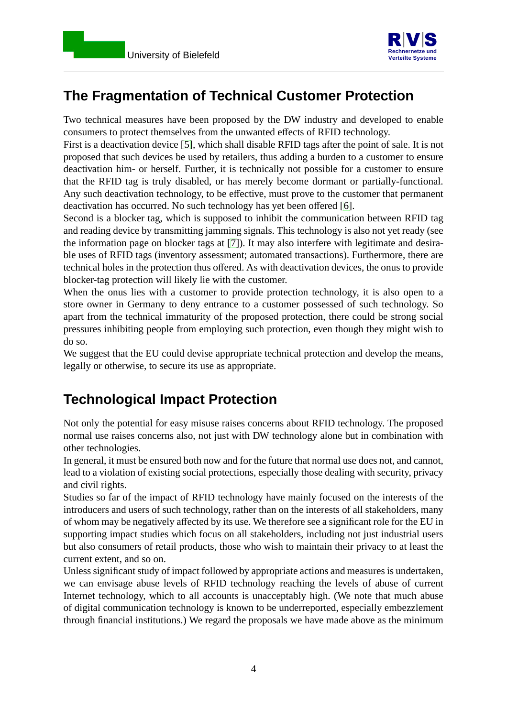

### **The Fragmentation of Technical Customer Protection**

Two technical measures have been proposed by the DW industry and developed to enable consumers to protect themselves from the unwanted effects of RFID technology.

First is a deactivation device [\[5\]](#page-5-2), which shall disable RFID tags after the point of sale. It is not proposed that such devices be used by retailers, thus adding a burden to a customer to ensure deactivation him- or herself. Further, it is technically not possible for a customer to ensure that the RFID tag is truly disabled, or has merely become dormant or partially-functional. Any such deactivation technology, to be effective, must prove to the customer that permanent deactivation has occurred. No such technology has yet been offered [\[6\]](#page-5-3).

Second is a blocker tag, which is supposed to inhibit the communication between RFID tag and reading device by transmitting jamming signals. This technology is also not yet ready (see the information page on blocker tags at [\[7\]](#page-5-4)). It may also interfere with legitimate and desirable uses of RFID tags (inventory assessment; automated transactions). Furthermore, there are technical holes in the protection thus offered. As with deactivation devices, the onus to provide blocker-tag protection will likely lie with the customer.

When the onus lies with a customer to provide protection technology, it is also open to a store owner in Germany to deny entrance to a customer possessed of such technology. So apart from the technical immaturity of the proposed protection, there could be strong social pressures inhibiting people from employing such protection, even though they might wish to do so.

We suggest that the EU could devise appropriate technical protection and develop the means, legally or otherwise, to secure its use as appropriate.

## **Technological Impact Protection**

Not only the potential for easy misuse raises concerns about RFID technology. The proposed normal use raises concerns also, not just with DW technology alone but in combination with other technologies.

In general, it must be ensured both now and for the future that normal use does not, and cannot, lead to a violation of existing social protections, especially those dealing with security, privacy and civil rights.

Studies so far of the impact of RFID technology have mainly focused on the interests of the introducers and users of such technology, rather than on the interests of all stakeholders, many of whom may be negatively affected by its use. We therefore see a significant role for the EU in supporting impact studies which focus on all stakeholders, including not just industrial users but also consumers of retail products, those who wish to maintain their privacy to at least the current extent, and so on.

Unless significant study of impact followed by appropriate actions and measures is undertaken, we can envisage abuse levels of RFID technology reaching the levels of abuse of current Internet technology, which to all accounts is unacceptably high. (We note that much abuse of digital communication technology is known to be underreported, especially embezzlement through financial institutions.) We regard the proposals we have made above as the minimum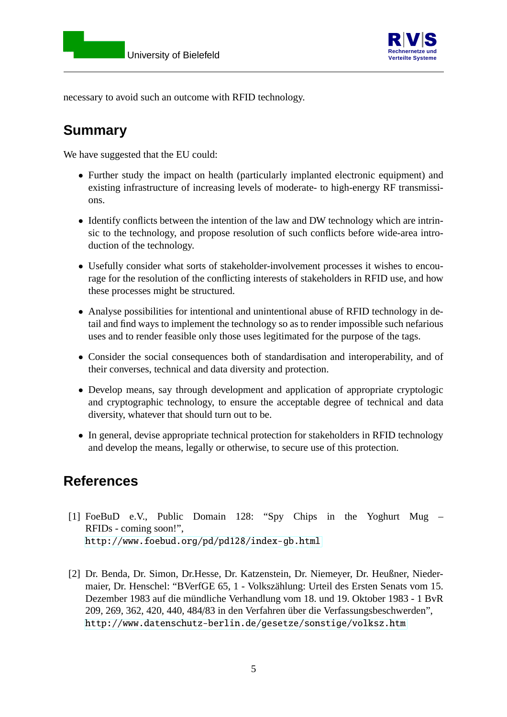



necessary to avoid such an outcome with RFID technology.

## **Summary**

We have suggested that the EU could:

- Further study the impact on health (particularly implanted electronic equipment) and existing infrastructure of increasing levels of moderate- to high-energy RF transmissions.
- Identify conflicts between the intention of the law and DW technology which are intrinsic to the technology, and propose resolution of such conflicts before wide-area introduction of the technology.
- Usefully consider what sorts of stakeholder-involvement processes it wishes to encourage for the resolution of the conflicting interests of stakeholders in RFID use, and how these processes might be structured.
- Analyse possibilities for intentional and unintentional abuse of RFID technology in detail and find ways to implement the technology so as to render impossible such nefarious uses and to render feasible only those uses legitimated for the purpose of the tags.
- Consider the social consequences both of standardisation and interoperability, and of their converses, technical and data diversity and protection.
- Develop means, say through development and application of appropriate cryptologic and cryptographic technology, to ensure the acceptable degree of technical and data diversity, whatever that should turn out to be.
- In general, devise appropriate technical protection for stakeholders in RFID technology and develop the means, legally or otherwise, to secure use of this protection.

#### <span id="page-4-0"></span>**References**

- [1] FoeBuD e.V., Public Domain 128: "Spy Chips in the Yoghurt Mug RFIDs - coming soon!", <http://www.foebud.org/pd/pd128/index-gb.html>
- <span id="page-4-1"></span>[2] Dr. Benda, Dr. Simon, Dr.Hesse, Dr. Katzenstein, Dr. Niemeyer, Dr. Heußner, Niedermaier, Dr. Henschel: "BVerfGE 65, 1 - Volkszählung: Urteil des Ersten Senats vom 15. Dezember 1983 auf die mündliche Verhandlung vom 18. und 19. Oktober 1983 - 1 BvR 209, 269, 362, 420, 440, 484/83 in den Verfahren über die Verfassungsbeschwerden", <http://www.datenschutz-berlin.de/gesetze/sonstige/volksz.htm>